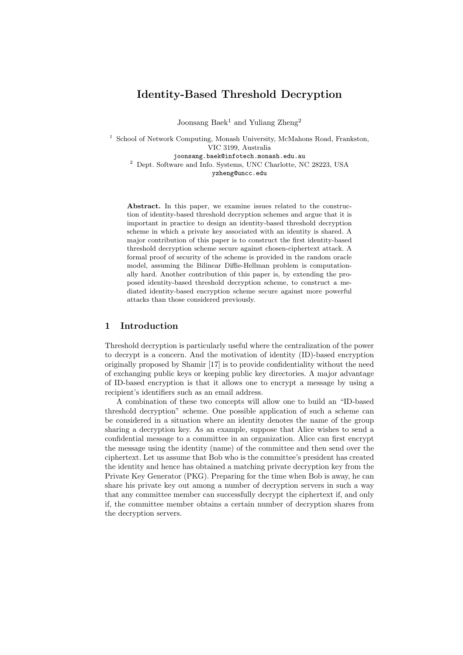# Identity-Based Threshold Decryption

Joonsang Baek<sup>1</sup> and Yuliang Zheng<sup>2</sup>

<sup>1</sup> School of Network Computing, Monash University, McMahons Road, Frankston, VIC 3199, Australia joonsang.baek@infotech.monash.edu.au <sup>2</sup> Dept. Software and Info. Systems, UNC Charlotte, NC 28223, USA

yzheng@uncc.edu

Abstract. In this paper, we examine issues related to the construction of identity-based threshold decryption schemes and argue that it is important in practice to design an identity-based threshold decryption scheme in which a private key associated with an identity is shared. A major contribution of this paper is to construct the first identity-based threshold decryption scheme secure against chosen-ciphertext attack. A formal proof of security of the scheme is provided in the random oracle model, assuming the Bilinear Diffie-Hellman problem is computationally hard. Another contribution of this paper is, by extending the proposed identity-based threshold decryption scheme, to construct a mediated identity-based encryption scheme secure against more powerful attacks than those considered previously.

# 1 Introduction

Threshold decryption is particularly useful where the centralization of the power to decrypt is a concern. And the motivation of identity (ID)-based encryption originally proposed by Shamir [17] is to provide confidentiality without the need of exchanging public keys or keeping public key directories. A major advantage of ID-based encryption is that it allows one to encrypt a message by using a recipient's identifiers such as an email address.

A combination of these two concepts will allow one to build an "ID-based threshold decryption" scheme. One possible application of such a scheme can be considered in a situation where an identity denotes the name of the group sharing a decryption key. As an example, suppose that Alice wishes to send a confidential message to a committee in an organization. Alice can first encrypt the message using the identity (name) of the committee and then send over the ciphertext. Let us assume that Bob who is the committee's president has created the identity and hence has obtained a matching private decryption key from the Private Key Generator (PKG). Preparing for the time when Bob is away, he can share his private key out among a number of decryption servers in such a way that any committee member can successfully decrypt the ciphertext if, and only if, the committee member obtains a certain number of decryption shares from the decryption servers.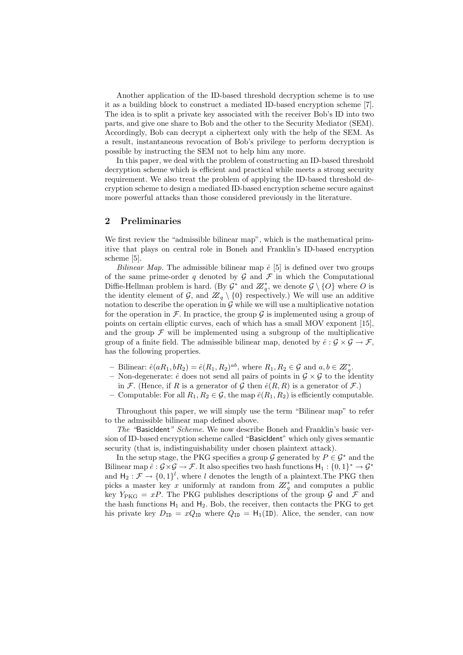Another application of the ID-based threshold decryption scheme is to use it as a building block to construct a mediated ID-based encryption scheme [7]. The idea is to split a private key associated with the receiver Bob's ID into two parts, and give one share to Bob and the other to the Security Mediator (SEM). Accordingly, Bob can decrypt a ciphertext only with the help of the SEM. As a result, instantaneous revocation of Bob's privilege to perform decryption is possible by instructing the SEM not to help him any more.

In this paper, we deal with the problem of constructing an ID-based threshold decryption scheme which is efficient and practical while meets a strong security requirement. We also treat the problem of applying the ID-based threshold decryption scheme to design a mediated ID-based encryption scheme secure against more powerful attacks than those considered previously in the literature.

# 2 Preliminaries

We first review the "admissible bilinear map", which is the mathematical primitive that plays on central role in Boneh and Franklin's ID-based encryption scheme [5].

Bilinear Map. The admissible bilinear map  $\hat{e}$  [5] is defined over two groups of the same prime-order q denoted by  $\mathcal G$  and  $\mathcal F$  in which the Computational Diffie-Hellman problem is hard. (By  $\mathcal{G}^*$  and  $\mathbb{Z}_q^*$ , we denote  $\mathcal{G} \setminus \{O\}$  where O is the identity element of G, and  $\mathbb{Z}_q \setminus \{0\}$  respectively.) We will use an additive notation to describe the operation in  $\mathcal G$  while we will use a multiplicative notation for the operation in  $\mathcal F$ . In practice, the group  $\mathcal G$  is implemented using a group of points on certain elliptic curves, each of which has a small MOV exponent [15], and the group  $\mathcal F$  will be implemented using a subgroup of the multiplicative group of a finite field. The admissible bilinear map, denoted by  $\hat{e}: \mathcal{G} \times \mathcal{G} \to \mathcal{F}$ , has the following properties.

- Bilinear:  $\hat{e}(aR_1, bR_2) = \hat{e}(R_1, R_2)^{ab}$ , where  $R_1, R_2 \in \mathcal{G}$  and  $a, b \in \mathbb{Z}_q^*$ .
- Non-degenerate:  $\hat{e}$  does not send all pairs of points in  $\mathcal{G} \times \mathcal{G}$  to the identity in F. (Hence, if R is a generator of G then  $\hat{e}(R, R)$  is a generator of F.)
- Computable: For all  $R_1, R_2 \in \mathcal{G}$ , the map  $\hat{e}(R_1, R_2)$  is efficiently computable.

Throughout this paper, we will simply use the term "Bilinear map" to refer to the admissible bilinear map defined above.

The "BasicIdent" Scheme. We now describe Boneh and Franklin's basic version of ID-based encryption scheme called "BasicIdent" which only gives semantic security (that is, indistinguishability under chosen plaintext attack).

In the setup stage, the PKG specifies a group  $\mathcal G$  generated by  $P \in \mathcal G^*$  and the Bilinear map  $\hat{e}: \mathcal{G} \times \mathcal{G} \to \mathcal{F}$ . It also specifies two hash functions  $H_1: \{0,1\}^* \to \mathcal{G}^*$ and  $H_2: \mathcal{F} \to \{0,1\}^l$ , where l denotes the length of a plaintext. The PKG then picks a master key x uniformly at random from  $\mathbb{Z}_q^*$  and computes a public key  $Y_{\text{PKG}} = xP$ . The PKG publishes descriptions of the group G and F and the hash functions  $H_1$  and  $H_2$ . Bob, the receiver, then contacts the PKG to get his private key  $D_{ID} = xQ_{ID}$  where  $Q_{ID} = H_1(ID)$ . Alice, the sender, can now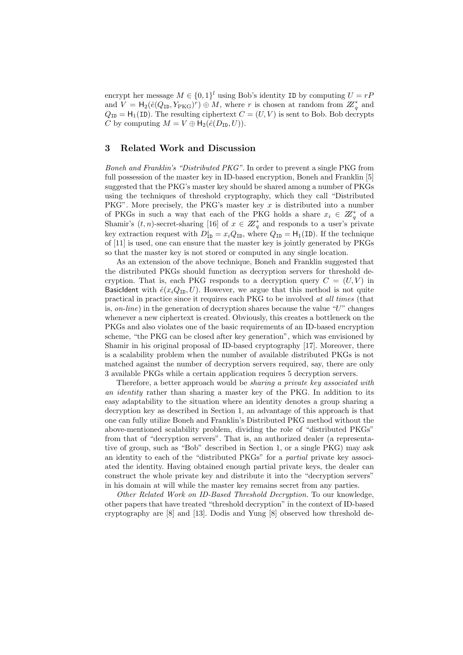encrypt her message  $M \in \{0,1\}^l$  using Bob's identity ID by computing  $U = rP$ and  $V = H_2(\hat{e}(Q_{\text{ID}}, Y_{\text{PKG}})^r) \oplus M$ , where r is chosen at random from  $\mathbb{Z}_q^*$  and  $Q_{ID} = H_1(ID)$ . The resulting ciphertext  $C = (U, V)$  is sent to Bob. Bob decrypts C by computing  $M = V \oplus H_2(\hat{e}(D_{\text{ID}}, U)).$ 

# 3 Related Work and Discussion

Boneh and Franklin's "Distributed PKG". In order to prevent a single PKG from full possession of the master key in ID-based encryption, Boneh and Franklin [5] suggested that the PKG's master key should be shared among a number of PKGs using the techniques of threshold cryptography, which they call "Distributed PKG". More precisely, the PKG's master key  $x$  is distributed into a number of PKGs in such a way that each of the PKG holds a share  $x_i \in \mathbb{Z}_q^*$  of a Shamir's  $(t, n)$ -secret-sharing [16] of  $x \in \mathbb{Z}_q^*$  and responds to a user's private key extraction request with  $D_{ID}^i = x_i Q_{ID}$ , where  $Q_{ID} = H_1(ID)$ . If the technique of [11] is used, one can ensure that the master key is jointly generated by PKGs so that the master key is not stored or computed in any single location.

As an extension of the above technique, Boneh and Franklin suggested that the distributed PKGs should function as decryption servers for threshold decryption. That is, each PKG responds to a decryption query  $C = (U, V)$  in BasicIdent with  $\hat{e}(x_iQ_{\text{TD}}, U)$ . However, we argue that this method is not quite practical in practice since it requires each PKG to be involved at all times (that is, on-line) in the generation of decryption shares because the value " $U$ " changes whenever a new ciphertext is created. Obviously, this creates a bottleneck on the PKGs and also violates one of the basic requirements of an ID-based encryption scheme, "the PKG can be closed after key generation", which was envisioned by Shamir in his original proposal of ID-based cryptography [17]. Moreover, there is a scalability problem when the number of available distributed PKGs is not matched against the number of decryption servers required, say, there are only 3 available PKGs while a certain application requires 5 decryption servers.

Therefore, a better approach would be sharing a private key associated with an identity rather than sharing a master key of the PKG. In addition to its easy adaptability to the situation where an identity denotes a group sharing a decryption key as described in Section 1, an advantage of this approach is that one can fully utilize Boneh and Franklin's Distributed PKG method without the above-mentioned scalability problem, dividing the role of "distributed PKGs" from that of "decryption servers". That is, an authorized dealer (a representative of group, such as "Bob" described in Section 1, or a single PKG) may ask an identity to each of the "distributed PKGs" for a partial private key associated the identity. Having obtained enough partial private keys, the dealer can construct the whole private key and distribute it into the "decryption servers" in his domain at will while the master key remains secret from any parties.

Other Related Work on ID-Based Threshold Decryption. To our knowledge, other papers that have treated "threshold decryption" in the context of ID-based cryptography are [8] and [13]. Dodis and Yung [8] observed how threshold de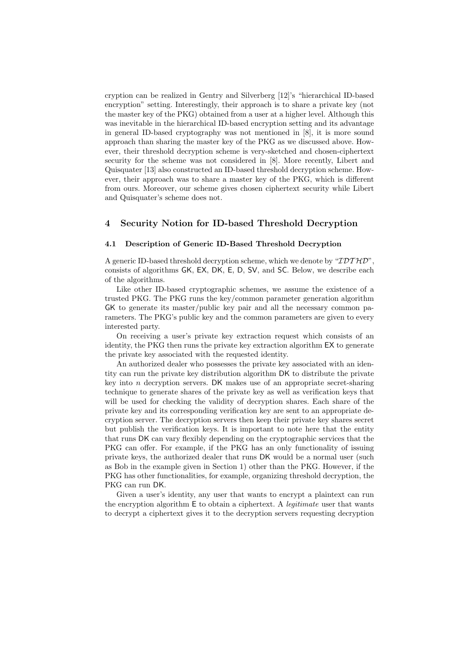cryption can be realized in Gentry and Silverberg [12]'s "hierarchical ID-based encryption" setting. Interestingly, their approach is to share a private key (not the master key of the PKG) obtained from a user at a higher level. Although this was inevitable in the hierarchical ID-based encryption setting and its advantage in general ID-based cryptography was not mentioned in [8], it is more sound approach than sharing the master key of the PKG as we discussed above. However, their threshold decryption scheme is very-sketched and chosen-ciphertext security for the scheme was not considered in [8]. More recently, Libert and Quisquater [13] also constructed an ID-based threshold decryption scheme. However, their approach was to share a master key of the PKG, which is different from ours. Moreover, our scheme gives chosen ciphertext security while Libert and Quisquater's scheme does not.

## 4 Security Notion for ID-based Threshold Decryption

## 4.1 Description of Generic ID-Based Threshold Decryption

A generic ID-based threshold decryption scheme, which we denote by " $\mathcal{IDTHD}$ ", consists of algorithms GK, EX, DK, E, D, SV, and SC. Below, we describe each of the algorithms.

Like other ID-based cryptographic schemes, we assume the existence of a trusted PKG. The PKG runs the key/common parameter generation algorithm GK to generate its master/public key pair and all the necessary common parameters. The PKG's public key and the common parameters are given to every interested party.

On receiving a user's private key extraction request which consists of an identity, the PKG then runs the private key extraction algorithm EX to generate the private key associated with the requested identity.

An authorized dealer who possesses the private key associated with an identity can run the private key distribution algorithm DK to distribute the private key into  $n$  decryption servers. DK makes use of an appropriate secret-sharing technique to generate shares of the private key as well as verification keys that will be used for checking the validity of decryption shares. Each share of the private key and its corresponding verification key are sent to an appropriate decryption server. The decryption servers then keep their private key shares secret but publish the verification keys. It is important to note here that the entity that runs DK can vary flexibly depending on the cryptographic services that the PKG can offer. For example, if the PKG has an only functionality of issuing private keys, the authorized dealer that runs DK would be a normal user (such as Bob in the example given in Section 1) other than the PKG. However, if the PKG has other functionalities, for example, organizing threshold decryption, the PKG can run DK.

Given a user's identity, any user that wants to encrypt a plaintext can run the encryption algorithm  $E$  to obtain a ciphertext. A *legitimate* user that wants to decrypt a ciphertext gives it to the decryption servers requesting decryption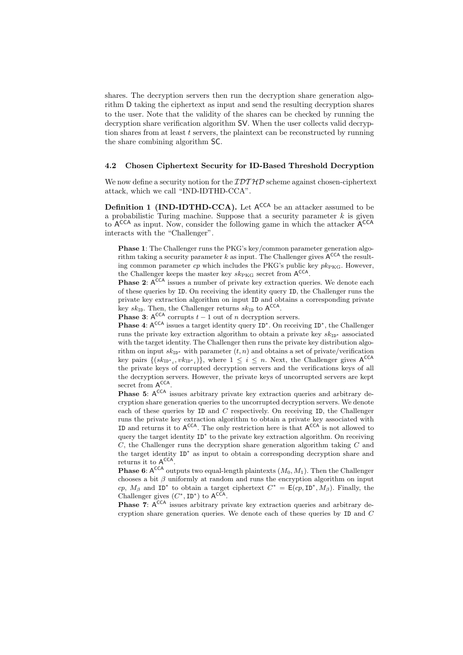shares. The decryption servers then run the decryption share generation algorithm D taking the ciphertext as input and send the resulting decryption shares to the user. Note that the validity of the shares can be checked by running the decryption share verification algorithm SV. When the user collects valid decryption shares from at least  $t$  servers, the plaintext can be reconstructed by running the share combining algorithm SC.

## 4.2 Chosen Ciphertext Security for ID-Based Threshold Decryption

We now define a security notion for the  $\mathcal{IDTHD}$  scheme against chosen-ciphertext attack, which we call "IND-IDTHD-CCA".

**Definition 1 (IND-IDTHD-CCA).** Let  $A^{CCA}$  be an attacker assumed to be a probabilistic Turing machine. Suppose that a security parameter  $k$  is given to A<sup>CCA</sup> as input. Now, consider the following game in which the attacker A<sup>CCA</sup> interacts with the "Challenger".

Phase 1: The Challenger runs the PKG's key/common parameter generation algorithm taking a security parameter k as input. The Challenger gives  $A^{CCA}$  the resulting common parameter  $cp$  which includes the PKG's public key  $pk_{PKG}$ . However, the Challenger keeps the master key  $sk_{\text{PKG}}$  secret from  $A^{\text{CCA}}$ .

**Phase 2:** A<sup>CCA</sup> issues a number of private key extraction queries. We denote each of these queries by ID. On receiving the identity query ID, the Challenger runs the private key extraction algorithm on input ID and obtains a corresponding private key  $sk_{\text{ID}}$ . Then, the Challenger returns  $sk_{\text{ID}}$  to  $A^{\text{CCA}}$ .

**Phase 3:**  $A^{CCA}$  corrupts  $t-1$  out of n decryption servers.

**Phase 4:**  $A^{CCA}$  issues a target identity query  $ID^*$ . On receiving  $ID^*$ , the Challenger runs the private key extraction algorithm to obtain a private key  $sk_{\text{ID}^*}$  associated with the target identity. The Challenger then runs the private key distribution algorithm on input  $sk_{\text{ID}^*}$  with parameter  $(t, n)$  and obtains a set of private/verification key pairs  $\{(sk_{\text{ID}^*}, vk_{\text{ID}^*})\}$ , where  $1 \leq i \leq n$ . Next, the Challenger gives A<sup>CCA</sup> the private keys of corrupted decryption servers and the verifications keys of all the decryption servers. However, the private keys of uncorrupted servers are kept secret from  $A^{CCA}$ .

**Phase 5:** A<sup>CCA</sup> issues arbitrary private key extraction queries and arbitrary decryption share generation queries to the uncorrupted decryption servers. We denote each of these queries by ID and C respectively. On receiving ID, the Challenger runs the private key extraction algorithm to obtain a private key associated with ID and returns it to  $A^{CCA}$ . The only restriction here is that  $A^{CCA}$  is not allowed to query the target identity **ID<sup>\*</sup>** to the private key extraction algorithm. On receiving C, the Challenger runs the decryption share generation algorithm taking C and the target identity ID<sup>∗</sup> as input to obtain a corresponding decryption share and returns it to  $A^{CCA}$ .

**Phase 6:** A<sup>CCA</sup> outputs two equal-length plaintexts  $(M_0, M_1)$ . Then the Challenger chooses a bit  $\beta$  uniformly at random and runs the encryption algorithm on input cp,  $M_\beta$  and ID<sup>\*</sup> to obtain a target ciphertext  $C^* = \mathsf{E}(cp, \mathrm{ID}^*, M_\beta)$ . Finally, the Challenger gives  $(C^*, \text{ID}^*)$  to  $\mathsf{A}^{\text{CCA}}$ .

**Phase 7:** A<sup>CCA</sup> issues arbitrary private key extraction queries and arbitrary decryption share generation queries. We denote each of these queries by ID and C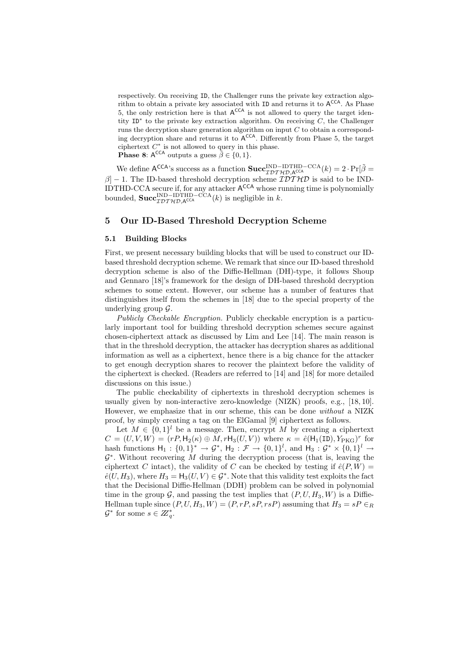respectively. On receiving ID, the Challenger runs the private key extraction algorithm to obtain a private key associated with  $ID$  and returns it to  $A^{CCA}$ . As Phase 5, the only restriction here is that  $A^{CCA}$  is not allowed to query the target identity  $ID^*$  to the private key extraction algorithm. On receiving  $C$ , the Challenger runs the decryption share generation algorithm on input  $C$  to obtain a corresponding decryption share and returns it to  $A^{CCA}$ . Differently from Phase 5, the target ciphertext  $C^*$  is not allowed to query in this phase. **Phase 8:**  $A^{CCA}$  outputs a guess  $\tilde{\beta} \in \{0, 1\}.$ 

We define  $\mathsf{A}^{\mathsf{CCA}}$ 's success as a function  $\mathbf{Succ}_{\mathcal{IDTHD},\mathsf{A}^{\mathsf{CCA}}}(k) = 2 \cdot \Pr[\tilde{\beta} =$  $\beta$ | – 1. The ID-based threshold decryption scheme  $\mathcal{IDTHD}$  is said to be IND-IDTHD-CCA secure if, for any attacker  $A^{CCA}$  whose running time is polynomially bounded,  $\text{Succ}_{\mathcal{IDTHD},A^{CCA}}^{\text{IND}-\text{IDTHD}-\text{CCA}}(k)$  is negligible in k.

## 5 Our ID-Based Threshold Decryption Scheme

### 5.1 Building Blocks

First, we present necessary building blocks that will be used to construct our IDbased threshold decryption scheme. We remark that since our ID-based threshold decryption scheme is also of the Diffie-Hellman (DH)-type, it follows Shoup and Gennaro [18]'s framework for the design of DH-based threshold decryption schemes to some extent. However, our scheme has a number of features that distinguishes itself from the schemes in [18] due to the special property of the underlying group  $\mathcal{G}$ .

Publicly Checkable Encryption. Publicly checkable encryption is a particularly important tool for building threshold decryption schemes secure against chosen-ciphertext attack as discussed by Lim and Lee [14]. The main reason is that in the threshold decryption, the attacker has decryption shares as additional information as well as a ciphertext, hence there is a big chance for the attacker to get enough decryption shares to recover the plaintext before the validity of the ciphertext is checked. (Readers are referred to [14] and [18] for more detailed discussions on this issue.)

The public checkability of ciphertexts in threshold decryption schemes is usually given by non-interactive zero-knowledge (NIZK) proofs, e.g., [18, 10]. However, we emphasize that in our scheme, this can be done without a NIZK proof, by simply creating a tag on the ElGamal [9] ciphertext as follows.

Let  $M \in \{0,1\}^l$  be a message. Then, encrypt M by creating a ciphertext  $C = (U, V, W) = (rP, H_2(\kappa) \oplus M, rH_3(U, V))$  where  $\kappa = \hat{e}(H_1(\text{ID}), Y_{\text{PKG}})^r$  for hash functions  $H_1: \{0,1\}^* \to \mathcal{G}^*, H_2: \mathcal{F} \to \{0,1\}^l$ , and  $H_3: \mathcal{G}^* \times \{0,1\}^l \to$  $\mathcal{G}^*$ . Without recovering M during the decryption process (that is, leaving the ciphertext C intact), the validity of C can be checked by testing if  $\hat{e}(P, W)$  =  $\hat{e}(U, H_3)$ , where  $H_3 = H_3(U, V) \in \mathcal{G}^*$ . Note that this validity test exploits the fact that the Decisional Diffie-Hellman (DDH) problem can be solved in polynomial time in the group  $\mathcal{G}$ , and passing the test implies that  $(P, U, H_3, W)$  is a Diffie-Hellman tuple since  $(P, U, H_3, W) = (P, rP, sP, rsP)$  assuming that  $H_3 = sP \in_R$  $\mathcal{G}^*$  for some  $s \in \mathbb{Z}_q^*$ .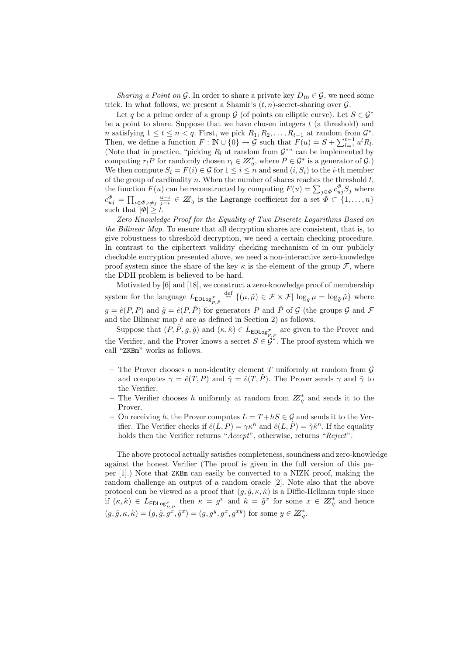Sharing a Point on G. In order to share a private key  $D_{ID} \in \mathcal{G}$ , we need some trick. In what follows, we present a Shamir's  $(t, n)$ -secret-sharing over  $\mathcal{G}$ .

Let q be a prime order of a group  $\mathcal G$  (of points on elliptic curve). Let  $S \in \mathcal G^*$ be a point to share. Suppose that we have chosen integers  $t$  (a threshold) and n satisfying  $1 \le t \le n < q$ . First, we pick  $R_1, R_2, \ldots, R_{t-1}$  at random from  $\mathcal{G}^*$ . *n* satisfying  $1 \leq t \leq n < q$ . First, we pick  $R_1, R_2, \ldots, R_{t-1}$  at random from  $g$ .<br>Then, we define a function  $F : \mathbb{N} \cup \{0\} \to \mathcal{G}$  such that  $F(u) = S + \sum_{l=1}^{t-1} u^l R_l$ . (Note that in practice, "picking  $R_l$  at random from  $\mathcal{G}^{*}$ " can be implemented by computing  $r_l P$  for randomly chosen  $r_l \in \mathbb{Z}_q^*$ , where  $P \in \mathcal{G}^*$  is a generator of  $\mathcal{G}$ .) We then compute  $S_i = F(i) \in \mathcal{G}$  for  $1 \leq i \leq n$  and send  $(i, S_i)$  to the *i*-th member of the group of cardinality n. When the number of shares reaches the threshold  $t$ , of the group of cardinality *n*. When the humber of shares reaches the threshold *t*, the function  $F(u)$  can be reconstructed by computing  $F(u) = \sum_{j \in \Phi} c_{uj}^{\Phi} S_j$  where  $c_{uj}^{\Phi} = \prod$  $\mu \in \Phi, \mu \neq j \frac{u-\nu}{j-\nu} \in \mathbb{Z}_q$  is the Lagrange coefficient for a set  $\Phi \subset \{1, \ldots, n\}$ such that  $|\Phi| \geq t$ .

Zero Knowledge Proof for the Equality of Two Discrete Logarithms Based on the Bilinear Map. To ensure that all decryption shares are consistent, that is, to give robustness to threshold decryption, we need a certain checking procedure. In contrast to the ciphertext validity checking mechanism of in our publicly checkable encryption presented above, we need a non-interactive zero-knowledge proof system since the share of the key  $\kappa$  is the element of the group  $\mathcal{F}$ , where the DDH problem is believed to be hard.

Motivated by [6] and [18], we construct a zero-knowledge proof of membership system for the language  $L_{\text{EDLog}_{P,\tilde{P}}} \stackrel{\text{def}}{=} \{(\mu,\tilde{\mu}) \in \mathcal{F} \times \mathcal{F} | \log_g \mu = \log_{\tilde{g}} \tilde{\mu}\}\$  where  $g = \hat{e}(P, P)$  and  $\tilde{g} = \hat{e}(P, \tilde{P})$  for generators P and  $\tilde{P}$  of G (the groups G and F and the Bilinear map  $\hat{e}$  are as defined in Section 2) as follows.

Suppose that  $(P, \tilde{P}, g, \tilde{g})$  and  $(\kappa, \tilde{\kappa}) \in L_{\text{EDLog}_{P, \tilde{P}}}$  are given to the Prover and the Verifier, and the Prover knows a secret  $S \in \mathcal{G}^*$ . The proof system which we call "ZKBm" works as follows.

- The Prover chooses a non-identity element T uniformly at random from  $\mathcal G$ and computes  $\gamma = \hat{e}(T, P)$  and  $\tilde{\gamma} = \hat{e}(T, \tilde{P})$ . The Prover sends  $\gamma$  and  $\tilde{\gamma}$  to the Verifier.
- The Verifier chooses h uniformly at random from  $\mathbb{Z}_q^*$  and sends it to the Prover.
- On receiving h, the Prover computes  $L = T + hS \in \mathcal{G}$  and sends it to the Verifier. The Verifier checks if  $\hat{e}(L, P) = \gamma \kappa^h$  and  $\hat{e}(L, \tilde{P}) = \tilde{\gamma} \tilde{\kappa}^h$ . If the equality holds then the Verifier returns "Accept", otherwise, returns "Reject".

The above protocol actually satisfies completeness, soundness and zero-knowledge against the honest Verifier (The proof is given in the full version of this paper [1].) Note that ZKBm can easily be converted to a NIZK proof, making the random challenge an output of a random oracle [2]. Note also that the above protocol can be viewed as a proof that  $(g, \tilde{g}, \kappa, \tilde{\kappa})$  is a Diffie-Hellman tuple since if  $(\kappa, \tilde{\kappa}) \in L_{\text{EDLog}_{P, \tilde{P}}}$  then  $\kappa = g^x$  and  $\tilde{\kappa} = \tilde{g}^x$  for some  $x \in \mathbb{Z}_q^*$  and hence  $(g, \tilde{g}, \kappa, \tilde{\kappa}) = (g, \tilde{g}, g^x, \tilde{g}^x) = (g, g^y, g^x, g^{xy})$  for some  $y \in \mathbb{Z}_q^*$ .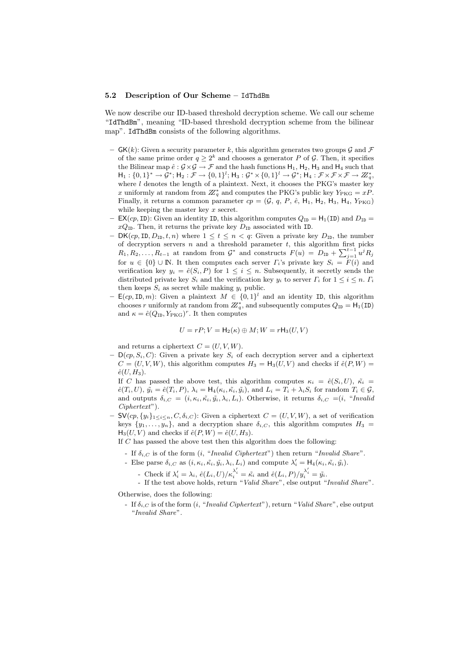#### 5.2 Description of Our Scheme – IdThdBm

We now describe our ID-based threshold decryption scheme. We call our scheme "IdThdBm", meaning "ID-based threshold decryption scheme from the bilinear map". IdThdBm consists of the following algorithms.

- $G(K(k))$ : Given a security parameter k, this algorithm generates two groups G and F of the same prime order  $q \geq 2^k$  and chooses a generator P of G. Then, it specifies the Bilinear map  $\hat{e}: \mathcal{G} \times \mathcal{G} \to \mathcal{F}$  and the hash functions  $H_1, H_2, H_3$  and  $H_4$  such that  $H_1: \{0,1\}^* \to \mathcal{G}^*$ ;  $H_2: \mathcal{F} \to \{0,1\}^l$ ;  $H_3: \mathcal{G}^* \times \{0,1\}^l \to \mathcal{G}^*$ ;  $H_4: \mathcal{F} \times \mathcal{F} \times \mathcal{F} \to \mathbb{Z}_q^*$ , where  $l$  denotes the length of a plaintext. Next, it chooses the PKG's master key x uniformly at random from  $\mathbb{Z}_q^*$  and computes the PKG's public key  $Y_{\text{PKG}} = xP$ . Finally, it returns a common parameter  $cp = (\mathcal{G}, q, P, \hat{e}, H_1, H_2, H_3, H_4, Y_{PKG})$ while keeping the master key x secret.
- $\mathsf{EX}(cp, \mathsf{ID})$ : Given an identity ID, this algorithm computes  $Q_{\mathsf{ID}} = \mathsf{H}_1(\mathsf{ID})$  and  $D_{\mathsf{ID}} =$  $xQ_{\text{ID}}$ . Then, it returns the private key  $D_{\text{ID}}$  associated with ID.
- $DK(cp, ID, D_{ID}, t, n)$  where  $1 \le t \le n \le q$ : Given a private key  $D_{ID}$ , the number of decryption servers  $n$  and a threshold parameter  $t$ , this algorithm first picks of decryption servers *n* and a threshold parameter *t*, this algorithm first picks  $R_1, R_2, \ldots, R_{t-1}$  at random from  $\mathcal{G}^*$  and constructs  $F(u) = D_{\text{ID}} + \sum_{j=1}^{t-1} u^j R_j$ for  $u \in \{0\} \cup \mathbb{N}$ . It then computes each server  $\Gamma_i$ 's private key  $S_i = \tilde{F}(i)$  and verification key  $y_i = \hat{e}(S_i, P)$  for  $1 \leq i \leq n$ . Subsequently, it secretly sends the distributed private key  $S_i$  and the verification key  $y_i$  to server  $\Gamma_i$  for  $1 \leq i \leq n$ .  $\Gamma_i$ then keeps  $S_i$  as secret while making  $y_i$  public.
- $\mathsf{E}(cp, \text{ID}, m)$ : Given a plaintext  $M \in \{0,1\}^l$  and an identity ID, this algorithm chooses r uniformly at random from  $Z_q^*$ , and subsequently computes  $Q_{ID} = H_1(ID)$ and  $\kappa = \hat{e}(Q_{\text{ID}}, Y_{\text{PKG}})^r$ . It then computes

$$
U = rP; V = \mathsf{H}_2(\kappa) \oplus M; W = r\mathsf{H}_3(U, V)
$$

and returns a ciphertext  $C = (U, V, W)$ .

 $D(cp, S_i, C)$ : Given a private key  $S_i$  of each decryption server and a ciphertext  $C = (U, V, W)$ , this algorithm computes  $H_3 = H_3(U, V)$  and checks if  $\hat{e}(P, W)$  $\hat{e}(U, H_3)$ .

If C has passed the above test, this algorithm computes  $\kappa_i = \hat{e}(S_i, U)$ ,  $\tilde{\kappa}_i =$  $\hat{e}(T_i, U), \, \tilde{y}_i = \hat{e}(T_i, P), \, \lambda_i = \mathsf{H}_4(\kappa_i, \tilde{\kappa}_i, \tilde{y}_i), \text{ and } L_i = T_i + \lambda_i S_i \text{ for random } T_i \in \mathcal{G},$ and outputs  $\delta_{i,C} = (i, \kappa_i, \tilde{\kappa}_i, \tilde{y}_i, \lambda_i, L_i)$ . Otherwise, it returns  $\delta_{i,C} = (i, "Invalid]$ Ciphertext").

– SV $(cp, \{y_i\}_{1\leq i\leq n}, C, \delta_{i,C})$ : Given a ciphertext  $C = (U, V, W)$ , a set of verification keys  $\{y_1, \ldots, y_n\}$ , and a decryption share  $\delta_{i,C}$ , this algorithm computes  $H_3 =$  $H_3(U, V)$  and checks if  $\hat{e}(P, W) = \hat{e}(U, H_3)$ .

If C has passed the above test then this algorithm does the following:

- If  $\delta_{i,C}$  is of the form  $(i, "Invalid Ciphertext")$  then return "Invalid Share".
- Else parse  $\delta_{i,C}$  as  $(i, \kappa_i, \tilde{\kappa}_i, \tilde{y}_i, \lambda_i, L_i)$  and compute  $\lambda'_i = H_4(\kappa_i, \tilde{\kappa}_i, \tilde{y}_i)$ .
	- Check if  $\lambda'_i = \lambda_i$ ,  $\hat{e}(L_i, U)/\kappa_i^{\lambda'_i} = \tilde{\kappa_i}$  and  $\hat{e}(L_i, P)/y_i^{\lambda'_i} = \tilde{y_i}$ .
	- If the test above holds, return "Valid Share", else output "Invalid Share".

Otherwise, does the following:

- If  $\delta_{i,C}$  is of the form  $(i, "Invalid Ciphertext"),$  return "Valid Share", else output "Invalid Share".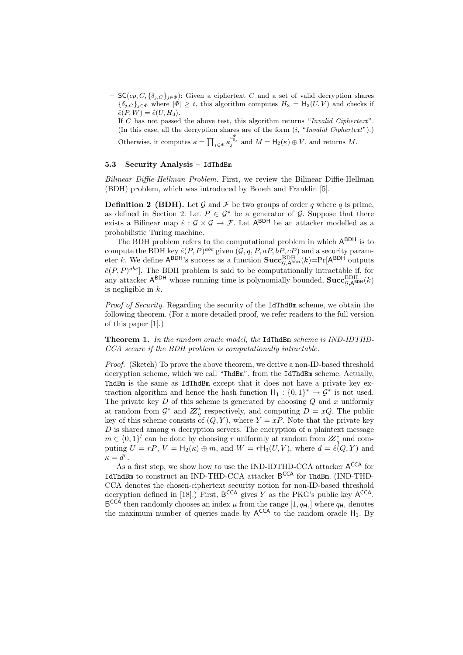–  $SC(cp, C, \{\delta_{i,C}\}_{i\in\Phi})$ : Given a ciphertext C and a set of valid decryption shares  ${\delta_{j,C}}_{j\in\Phi}$  where  $|\Phi|\geq t$ , this algorithm computes  $H_3 = H_3(U,V)$  and checks if  $\hat{e}(P, W) = \hat{e}(U, H_3).$ 

If C has not passed the above test, this algorithm returns "Invalid Ciphertext". (In this case, all the decryption shares are of the form  $(i, "Invalid Ciphertext").$ ) Otherwise, it computes  $\kappa = \prod$  $\int_{j\in\Phi}^{\mathcal{C}_0^{\Phi_j}} \mathfrak{a}$  and  $M = \mathsf{H}_2(\kappa) \oplus V$ , and returns M.

## 5.3 Security Analysis – IdThdBm

Bilinear Diffie-Hellman Problem. First, we review the Bilinear Diffie-Hellman (BDH) problem, which was introduced by Boneh and Franklin [5].

**Definition 2 (BDH).** Let G and F be two groups of order q where q is prime, as defined in Section 2. Let  $P \in \mathcal{G}^*$  be a generator of  $\mathcal{G}$ . Suppose that there exists a Bilinear map  $\hat{e}: \mathcal{G} \times \mathcal{G} \to \mathcal{F}$ . Let  $A^{BDH}$  be an attacker modelled as a probabilistic Turing machine.

The BDH problem refers to the computational problem in which  $A^{BDH}$  is to compute the BDH key  $\hat{e}(P, P)^{abc}$  given  $(\mathcal{G}, q, P, aP, bP, cP)$  and a security parameter k. We define  $A^{BDH}$ 's success as a function  $Succ_{\mathcal{G},A^{BDH}}^{BDH}(k)=Pr[A^{BDH}$  outputs  $\hat{e}(P, P)^{abc}$ . The BDH problem is said to be computationally intractable if, for any attacker  $A^{BDH}$  whose running time is polynomially bounded,  $Succ_{\mathcal{G},A^{BDH}}^{BDH}(k)$ is negligible in  $k$ .

Proof of Security. Regarding the security of the IdThdBm scheme, we obtain the following theorem. (For a more detailed proof, we refer readers to the full version of this paper [1].)

Theorem 1. In the random oracle model, the IdThdBm scheme is IND-IDTHD-CCA secure if the BDH problem is computationally intractable.

Proof. (Sketch) To prove the above theorem, we derive a non-ID-based threshold decryption scheme, which we call "ThdBm", from the IdThdBm scheme. Actually, ThdBm is the same as IdThdBm except that it does not have a private key extraction algorithm and hence the hash function  $H_1: \{0,1\}^* \to \mathcal{G}^*$  is not used. The private key  $D$  of this scheme is generated by choosing  $Q$  and  $x$  uniformly at random from  $\mathcal{G}^*$  and  $\mathbb{Z}_q^*$  respectively, and computing  $D = xQ$ . The public key of this scheme consists of  $(Q, Y)$ , where  $Y = xP$ . Note that the private key  $D$  is shared among  $n$  decryption servers. The encryption of a plaintext message  $m \in \{0,1\}^l$  can be done by choosing r uniformly at random from  $\mathbb{Z}_q^*$  and computing  $U = rP$ ,  $V = H_2(\kappa) \oplus m$ , and  $W = rH_3(U, V)$ , where  $d = \hat{e}(Q, Y)$  and  $\kappa = d^r.$ 

As a first step, we show how to use the IND-IDTHD-CCA attacker  $A^{CCA}$  for IdThdBm to construct an IND-THD-CCA attacker BCCA for ThdBm. (IND-THD-CCA denotes the chosen-ciphertext security notion for non-ID-based threshold decryption defined in [18].) First,  $B^{CCA}$  gives Y as the PKG's public key  $A^{CCA}$ .  $B^{CCA}$  then randomly chooses an index  $\mu$  from the range  $[1, q_{H_1}]$  where  $q_{H_1}$  denotes the maximum number of queries made by  $A^{CCA}$  to the random oracle  $H_1$ . By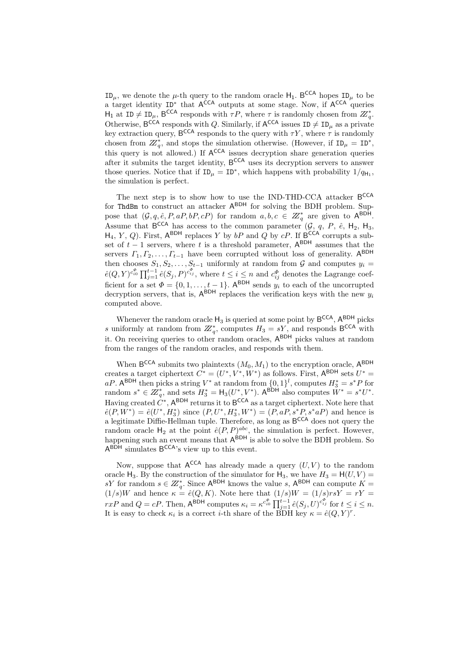ID<sub> $\mu$ </sub>, we denote the  $\mu$ -th query to the random oracle H<sub>1</sub>. B<sup>CCA</sup> hopes ID<sub> $\mu$ </sub> to be a target identity  $ID^*$  that  $A^{CCA}$  outputs at some stage. Now, if  $A^{CCA}$  queries  $H_1$  at  $ID \neq ID_\mu$ ,  $B^{CCA}$  responds with  $\tau P$ , where  $\tau$  is randomly chosen from  $\mathbb{Z}_q^*$ . Otherwise, B<sup>CCA</sup> responds with Q. Similarly, if  $A^{CCA}$  issues  $ID \neq ID_{\mu}$  as a private key extraction query,  $B^{CCA}$  responds to the query with  $\tau Y$ , where  $\tau$  is randomly chosen from  $\mathbb{Z}_q^*$ , and stops the simulation otherwise. (However, if  $ID_\mu = ID^*$ , this query is not allowed.) If  $A^{CCA}$  issues decryption share generation queries after it submits the target identity,  $B^{CCA}$  uses its decryption servers to answer those queries. Notice that if  $ID_{\mu} = ID^*$ , which happens with probability  $1/q_{H_1}$ , the simulation is perfect.

The next step is to show how to use the IND-THD-CCA attacker BCCA for ThdBm to construct an attacker  $A^{BDH}$  for solving the BDH problem. Suppose that  $(\mathcal{G}, q, \hat{e}, P, aP, bP, cP)$  for random  $a, b, c \in \mathbb{Z}_q^*$  are given to  $\mathsf{A}^{\mathsf{BDH}}$ . Assume that  $B^{CCA}$  has access to the common parameter  $(G, q, P, \hat{e}, H_2, H_3,$  $H_4$ , Y, Q). First, A<sup>BDH</sup> replaces Y by bP and Q by cP. If B<sup>CCA</sup> corrupts a subset of  $t-1$  servers, where t is a threshold parameter,  $A^{BDH}$  assumes that the servers  $\Gamma_1, \Gamma_2, \ldots, \Gamma_{t-1}$  have been corrupted without loss of generality. A<sup>BDH</sup> then chooses  $S_1, S_2, \ldots, S_{t-1}$  uniformly at random from  $\mathcal G$  and computes  $y_i =$ <br> $\hat{z}(G, V) \hat{c}_v^{\phi} \Pi^{t-1} \hat{z}(G, R) \hat{c}_v^{\phi}$  where  $t \leq i \leq n$  and  $\hat{c}_v^{\phi}$  denotes the Lagrange sets  $\hat{e}(Q, Y)^{c_{i0}^{\phi}} \prod_{j=1}^{t-1} \hat{e}(S_j, P)^{c_{ij}^{\phi}}$ , where  $t \leq i \leq n$  and  $c_{ij}^{\phi}$  denotes the Lagrange coefficient for a set  $\Phi = \{0, 1, \ldots, t-1\}$ .  $\mathsf{A}^{\mathsf{BDH}}$  sends  $y_i$  to each of the uncorrupted decryption servers, that is,  $A^{BDH}$  replaces the verification keys with the new  $y_i$ computed above.

Whenever the random oracle  $H_3$  is queried at some point by  $B^{CCA}$ ,  $A^{BDH}$  picks s uniformly at random from  $\mathbb{Z}_q^*$ , computes  $H_3 = sY$ , and responds  $\mathsf{B}^{\mathsf{CCA}}$  with it. On receiving queries to other random oracles, A BDH picks values at random from the ranges of the random oracles, and responds with them.

When  $\mathsf{B}^{\mathsf{CCA}}$  submits two plaintexts  $(M_0, M_1)$  to the encryption oracle,  $\mathsf{A}^{\mathsf{BDH}}$ creates a target ciphertext  $C^* = (U^*, V^*, W^*)$  as follows. First,  $A^{BDH}$  sets  $U^* =$  $aP$ .  $A^{BDH}$  then picks a string  $V^*$  at random from  $\{0,1\}^l$ , computes  $H_3^* = s^*P$  for random  $s^* \in \mathbb{Z}_q^*$ , and sets  $H_3^* = H_3(U^*, V^*)$ . A<sup>BDH</sup> also computes  $W^* = s^*U^*$ . Having created  $C^*$ ,  $A^{BDH}$  returns it to  $B^{CCA}$  as a target ciphertext. Note here that  $\hat{e}(P, W^*) = \hat{e}(U^*, H_3^*)$  since  $(P, U^*, H_3^*, W^*) = (P, aP, s^*P, s^*aP)$  and hence is a legitimate Diffie-Hellman tuple. Therefore, as long as  $B^{CCA}$  does not query the random oracle  $H_2$  at the point  $\hat{e}(P, P)^{abc}$ , the simulation is perfect. However, happening such an event means that  $A^{BDH}$  is able to solve the BDH problem. So  $A^{BDH}$  simulates  $B^{CCA}$ 's view up to this event.

Now, suppose that  $A^{CCA}$  has already made a query  $(U, V)$  to the random oracle H<sub>3</sub>. By the construction of the simulator for H<sub>3</sub>, we have  $H_3 = H(U, V) =$ sY for random  $s \in \mathbb{Z}_q^*$ . Since  $A^{BDH}$  knows the value s,  $A^{BDH}$  can compute  $K =$  $(1/s)W$  and hence  $\kappa = \hat{e}(Q, K)$ . Note here that  $(1/s)W = (1/s)rsY = rY$  $r x P$  and  $Q = c P$ . Then,  $A^{BDH}$  computes  $\kappa_i = \kappa^{c_{i0}^2} \prod_{j=1}^{i-1} \hat{e}(S_j, U)^{c_{i,j}^2}$  for  $t \le i \le n$ . It is easy to check  $\kappa_i$  is a correct *i*-th share of the BDH key  $\kappa = \hat{e}(Q, Y)^r$ .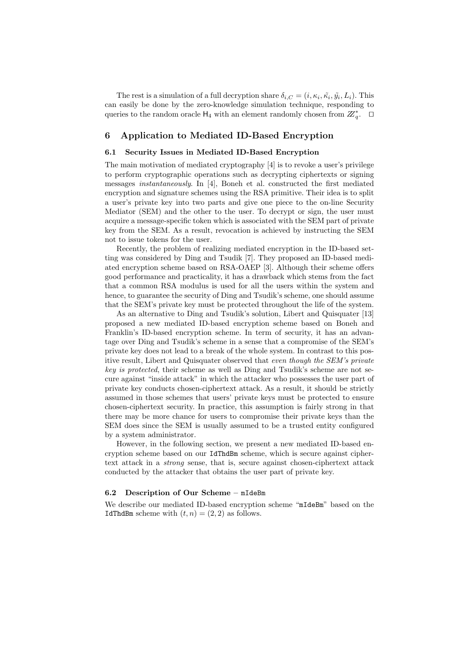The rest is a simulation of a full decryption share  $\delta_{i,C} = (i, \kappa_i, \tilde{\kappa_i}, \tilde{y_i}, L_i)$ . This can easily be done by the zero-knowledge simulation technique, responding to queries to the random oracle  $H_4$  with an element randomly chosen from  $\mathbb{Z}_q^*$ .  $\Box$ 

# 6 Application to Mediated ID-Based Encryption

## 6.1 Security Issues in Mediated ID-Based Encryption

The main motivation of mediated cryptography [4] is to revoke a user's privilege to perform cryptographic operations such as decrypting ciphertexts or signing messages instantaneously. In [4], Boneh et al. constructed the first mediated encryption and signature schemes using the RSA primitive. Their idea is to split a user's private key into two parts and give one piece to the on-line Security Mediator (SEM) and the other to the user. To decrypt or sign, the user must acquire a message-specific token which is associated with the SEM part of private key from the SEM. As a result, revocation is achieved by instructing the SEM not to issue tokens for the user.

Recently, the problem of realizing mediated encryption in the ID-based setting was considered by Ding and Tsudik [7]. They proposed an ID-based mediated encryption scheme based on RSA-OAEP [3]. Although their scheme offers good performance and practicality, it has a drawback which stems from the fact that a common RSA modulus is used for all the users within the system and hence, to guarantee the security of Ding and Tsudik's scheme, one should assume that the SEM's private key must be protected throughout the life of the system.

As an alternative to Ding and Tsudik's solution, Libert and Quisquater [13] proposed a new mediated ID-based encryption scheme based on Boneh and Franklin's ID-based encryption scheme. In term of security, it has an advantage over Ding and Tsudik's scheme in a sense that a compromise of the SEM's private key does not lead to a break of the whole system. In contrast to this positive result, Libert and Quisquater observed that even though the SEM's private key is protected, their scheme as well as Ding and Tsudik's scheme are not secure against "inside attack" in which the attacker who possesses the user part of private key conducts chosen-ciphertext attack. As a result, it should be strictly assumed in those schemes that users' private keys must be protected to ensure chosen-ciphertext security. In practice, this assumption is fairly strong in that there may be more chance for users to compromise their private keys than the SEM does since the SEM is usually assumed to be a trusted entity configured by a system administrator.

However, in the following section, we present a new mediated ID-based encryption scheme based on our IdThdBm scheme, which is secure against ciphertext attack in a strong sense, that is, secure against chosen-ciphertext attack conducted by the attacker that obtains the user part of private key.

#### 6.2 Description of Our Scheme – mIdeBm

We describe our mediated ID-based encryption scheme "mIdeBm" based on the IdThdBm scheme with  $(t, n) = (2, 2)$  as follows.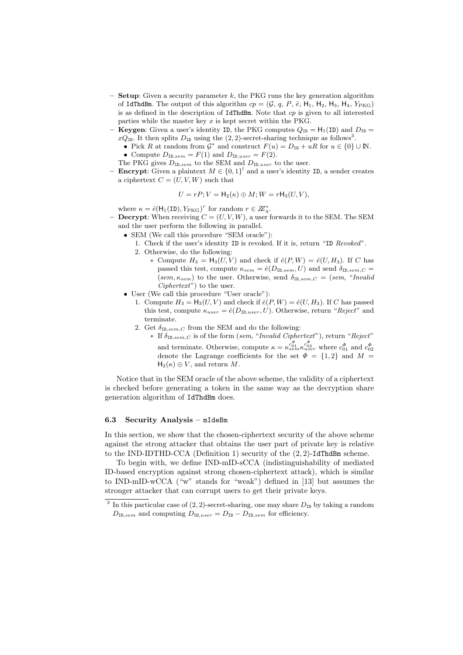- **Setup:** Given a security parameter  $k$ , the PKG runs the key generation algorithm of IdThdBm. The output of this algorithm  $cp = (G, q, P, \hat{e}, H_1, H_2, H_3, H_4, Y_{PKG})$ is as defined in the description of  $IdThdBm$ . Note that  $cp$  is given to all interested parties while the master key  $x$  is kept secret within the PKG.
- **Keygen:** Given a user's identity ID, the PKG computes  $Q_{ID} = H_1(ID)$  and  $D_{ID} =$  $xQ_{\text{ID}}$ . It then splits  $D_{\text{ID}}$  using the (2, 2)-secret-sharing technique as follows<sup>3</sup>.
	- Pick R at random from  $\mathcal{G}^*$  and construct  $F(u) = D_{\text{ID}} + uR$  for  $u \in \{0\} \cup \mathbb{N}$ . • Compute  $D_{\text{ID},sem} = F(1)$  and  $D_{\text{ID},user} = F(2)$ .
	- The PKG gives  $D_{\text{ID},sem}$  to the SEM and  $D_{\text{ID},user}$  to the user.
- **Encrypt**: Given a plaintext  $M \in \{0,1\}^l$  and a user's identity ID, a sender creates a ciphertext  $C = (U, V, W)$  such that

$$
U = rP; V = \mathsf{H}_2(\kappa) \oplus M; W = r\mathsf{H}_3(U, V),
$$

where  $\kappa = \hat{e}(\mathsf{H}_1(\texttt{ID}), Y_{\text{PKG}})^r$  for random  $r \in \mathbb{Z}_q^*$ .

- **Decrypt:** When receiving  $C = (U, V, W)$ , a user forwards it to the SEM. The SEM and the user perform the following in parallel.
	- SEM (We call this procedure "SEM oracle"):
		- 1. Check if the user's identity ID is revoked. If it is, return "ID Revoked".
			- 2. Otherwise, do the following:
				- ∗ Compute  $H_3 = H_3(U, V)$  and check if  $ê(P, W) = ê(U, H_3)$ . If C has passed this test, compute  $\kappa_{sem} = \hat{e}(D_{\text{ID},sem}, U)$  and send  $\delta_{\text{ID},sem}, C =$  $(sem, \kappa_{sem})$  to the user. Otherwise, send  $\delta_{\text{ID},sem, C} = (sem, "Invalid$ Ciphertext") to the user.
	- User (We call this procedure "User oracle"):
		- 1. Compute  $H_3 = H_3(U, V)$  and check if  $\hat{e}(P, W) = \hat{e}(U, H_3)$ . If C has passed this test, compute  $\kappa_{user} = \hat{e}(D_{\text{ID},user}, U)$ . Otherwise, return "Reject" and terminate.
		- 2. Get  $\delta_{\text{ID},sem,C}$  from the SEM and do the following:
			- $*$  If  $\delta_{\text{ID},sem,C}$  is of the form (sem, "Invalid Ciphertext"), return "Reject" and terminate. Otherwise, compute  $\kappa = \kappa_{sem}^{c_{01}^{\Phi}} \kappa_{user}^{c_{02}^{\Phi}}$  where  $c_{01}^{\Phi}$  and  $c_{02}^{\Phi}$ denote the Lagrange coefficients for the set  $\Phi = \{1, 2\}$  and  $M =$  $H_2(\kappa) \oplus V$ , and return M.

Notice that in the SEM oracle of the above scheme, the validity of a ciphertext is checked before generating a token in the same way as the decryption share generation algorithm of IdThdBm does.

### 6.3 Security Analysis – mIdeBm

In this section, we show that the chosen-ciphertext security of the above scheme against the strong attacker that obtains the user part of private key is relative to the IND-IDTHD-CCA (Definition 1) security of the  $(2, 2)$ -IdThdBm scheme.

To begin with, we define IND-mID-sCCA (indistinguishability of mediated ID-based encryption against strong chosen-ciphertext attack), which is similar to IND-mID-wCCA ("w" stands for "weak") defined in [13] but assumes the stronger attacker that can corrupt users to get their private keys.

<sup>&</sup>lt;sup>3</sup> In this particular case of  $(2, 2)$ -secret-sharing, one may share  $D_{ID}$  by taking a random  $D_{\text{ID},sem}$  and computing  $D_{\text{ID},user} = D_{\text{ID}} - D_{\text{ID},sem}$  for efficiency.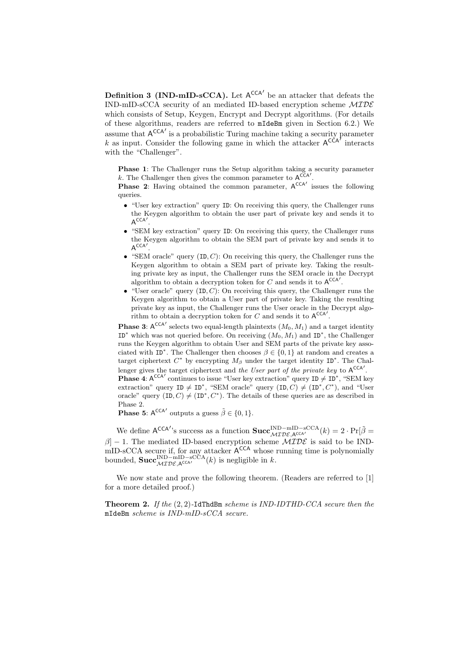**Definition 3 (IND-mID-sCCA).** Let  $A^{CCA'}$  be an attacker that defeats the IND-mID-sCCA security of an mediated ID-based encryption scheme  $\mathcal{MIDE}$ which consists of Setup, Keygen, Encrypt and Decrypt algorithms. (For details of these algorithms, readers are referred to mIdeBm given in Section 6.2.) We assume that  $A^{CCA'}$  is a probabilistic Turing machine taking a security parameter k as input. Consider the following game in which the attacker  $A^{CCA}$  interacts with the "Challenger".

Phase 1: The Challenger runs the Setup algorithm taking a security parameter k. The Challenger then gives the common parameter to  $A^{CCA}$ .

**Phase 2:** Having obtained the common parameter,  $A^{CCA'}$  issues the following queries.

- "User key extraction" query ID: On receiving this query, the Challenger runs the Keygen algorithm to obtain the user part of private key and sends it to  $A^{\text{CCA'}}$ .
- "SEM key extraction" query ID: On receiving this query, the Challenger runs the Keygen algorithm to obtain the SEM part of private key and sends it to  $A^{CCA'}$ .
- "SEM oracle" query  $(ID, C)$ : On receiving this query, the Challenger runs the Keygen algorithm to obtain a SEM part of private key. Taking the resulting private key as input, the Challenger runs the SEM oracle in the Decrypt algorithm to obtain a decryption token for C and sends it to  $A^{CCA'}$ .
- "User oracle" query  $(ID, C)$ : On receiving this query, the Challenger runs the Keygen algorithm to obtain a User part of private key. Taking the resulting private key as input, the Challenger runs the User oracle in the Decrypt algorithm to obtain a decryption token for  $C$  and sends it to  $A^{CCA}$ .

**Phase 3:**  $A^{CCA'}$  selects two equal-length plaintexts  $(M_0, M_1)$  and a target identity ID<sup>\*</sup> which was not queried before. On receiving  $(M_0, M_1)$  and ID<sup>\*</sup>, the Challenger runs the Keygen algorithm to obtain User and SEM parts of the private key associated with ID<sup>\*</sup>. The Challenger then chooses  $\beta \in \{0,1\}$  at random and creates a target ciphertext  $C^*$  by encrypting  $M_\beta$  under the target identity ID<sup>\*</sup>. The Challenger gives the target ciphertext and the User part of the private key to  $A^{CCA'}$ .

**Phase 4:**  $A^{CCA'}$  continues to issue "User key extraction" query  $ID \neq ID^*$ , "SEM key extraction" query  $ID \neq ID^*$ , "SEM oracle" query  $(ID, C) \neq (ID^*, C^*)$ , and "User oracle" query  $(ID, C) \neq (ID^*, C^*)$ . The details of these queries are as described in Phase 2.

**Phase 5:**  $A^{CCA'}$  outputs a guess  $\tilde{\beta} \in \{0, 1\}.$ 

We define  $A^{CCA'}$ 's success as a function  $Succ_{\mathcal{MIDE},A^{CCA}}^{IND-mID-SCCA}(k) = 2 \cdot Pr[\tilde{\beta} =$  $\beta$ | – 1. The mediated ID-based encryption scheme  $\mathcal{MIDE}$  is said to be INDmID-sCCA secure if, for any attacker  $A^{CCA}$  whose running time is polynomially bounded,  $\text{Succ}_{\mathcal{MIDE},\text{ACCA}}^{\text{IND}-\text{mID}-\text{sCCA}}(k)$  is negligible in k.

We now state and prove the following theorem. (Readers are referred to [1] for a more detailed proof.)

**Theorem 2.** If the  $(2, 2)$ -IdThdBm scheme is IND-IDTHD-CCA secure then the mIdeBm scheme is IND-mID-sCCA secure.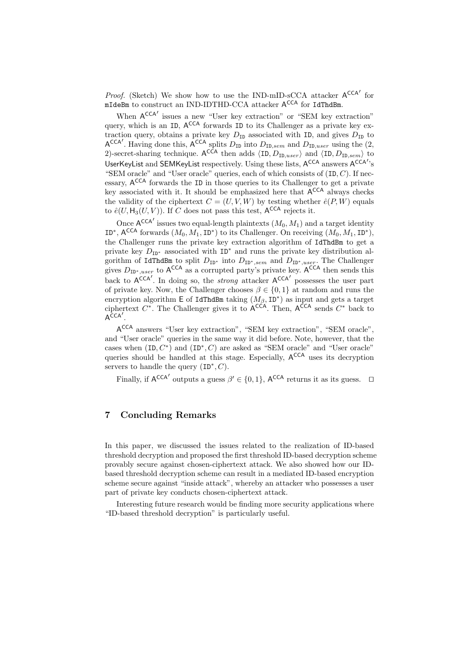*Proof.* (Sketch) We show how to use the IND-mID-sCCA attacker  $A^{CCA'}$  for <code>mIdeBm</code> to construct an IND-IDTHD-CCA attacker <code>A<sup>CCA</code> for <code>IdThdBm.</code></code></sup>

When  $A^{CCA'}$  issues a new "User key extraction" or "SEM key extraction" query, which is an ID,  $A^{CCA}$  forwards ID to its Challenger as a private key extraction query, obtains a private key  $D_{ID}$  associated with ID, and gives  $D_{ID}$  to  $A^{CCA'}$ . Having done this,  $A^{CCA}$  splits  $D_{ID}$  into  $D_{ID,sem}$  and  $D_{ID,user}$  using the (2, 2)-secret-sharing technique. A<sup>CCA</sup> then adds  $\langle$ ID,  $D_{ID,user} \rangle$  and  $\langle$ ID,  $D_{ID,sem} \rangle$  to UserKeyList and SEMKeyList respectively. Using these lists, ACCA answers ACCA''s "SEM oracle" and "User oracle" queries, each of which consists of  $(ID, C)$ . If necessary,  $A^{CCA}$  forwards the ID in those queries to its Challenger to get a private key associated with it. It should be emphasized here that  $A^{CCA}$  always checks the validity of the ciphertext  $C = (U, V, W)$  by testing whether  $\hat{e}(P, W)$  equals to  $\hat{e}(U, H_3(U, V))$ . If C does not pass this test,  $\mathsf{A}^{\mathsf{CCA}}$  rejects it.

Once  $A^{CCA'}$  issues two equal-length plaintexts  $(M_0, M_1)$  and a target identity ID<sup>\*</sup>, A<sup>CCA</sup> forwards  $(M_0, M_1, \text{ID}^*)$  to its Challenger. On receiving  $(M_0, M_1, \text{ID}^*)$ , the Challenger runs the private key extraction algorithm of IdThdBm to get a private key  $D_{\text{ID}^*}$  associated with ID<sup>\*</sup> and runs the private key distribution algorithm of IdThdBm to split  $D_{ID^*}$  into  $D_{ID^*,sem}$  and  $D_{ID^*,user}$ . The Challenger gives  $D_{\text{ID}^*,user}$  to  $\mathsf{A}^{\text{CCA}}$  as a corrupted party's private key.  $\mathsf{A}^{\text{CCA}}$  then sends this back to  $A^{CCA'}$ . In doing so, the *strong* attacker  $A^{CCA'}$  possesses the user part of private key. Now, the Challenger chooses  $\beta \in \{0,1\}$  at random and runs the encryption algorithm E of IdThdBm taking  $(M_\beta, ID^*)$  as input and gets a target ciphertext  $C^*$ . The Challenger gives it to  $A^{CCA}$ . Then,  $A^{CCA}$  sends  $C^*$  back to  $A^{\text{CCA}}$ .

A CCA answers "User key extraction", "SEM key extraction", "SEM oracle", and "User oracle" queries in the same way it did before. Note, however, that the cases when  $(ID, C^*)$  and  $(ID^*, C)$  are asked as "SEM oracle" and "User oracle" queries should be handled at this stage. Especially,  $A^{CCA}$  uses its decryption servers to handle the query  $(ID^*, C)$ .

Finally, if  $A^{CCA'}$  outputs a guess  $\beta' \in \{0,1\}$ ,  $A^{CCA}$  returns it as its guess.  $\Box$ 

# 7 Concluding Remarks

In this paper, we discussed the issues related to the realization of ID-based threshold decryption and proposed the first threshold ID-based decryption scheme provably secure against chosen-ciphertext attack. We also showed how our IDbased threshold decryption scheme can result in a mediated ID-based encryption scheme secure against "inside attack", whereby an attacker who possesses a user part of private key conducts chosen-ciphertext attack.

Interesting future research would be finding more security applications where "ID-based threshold decryption" is particularly useful.